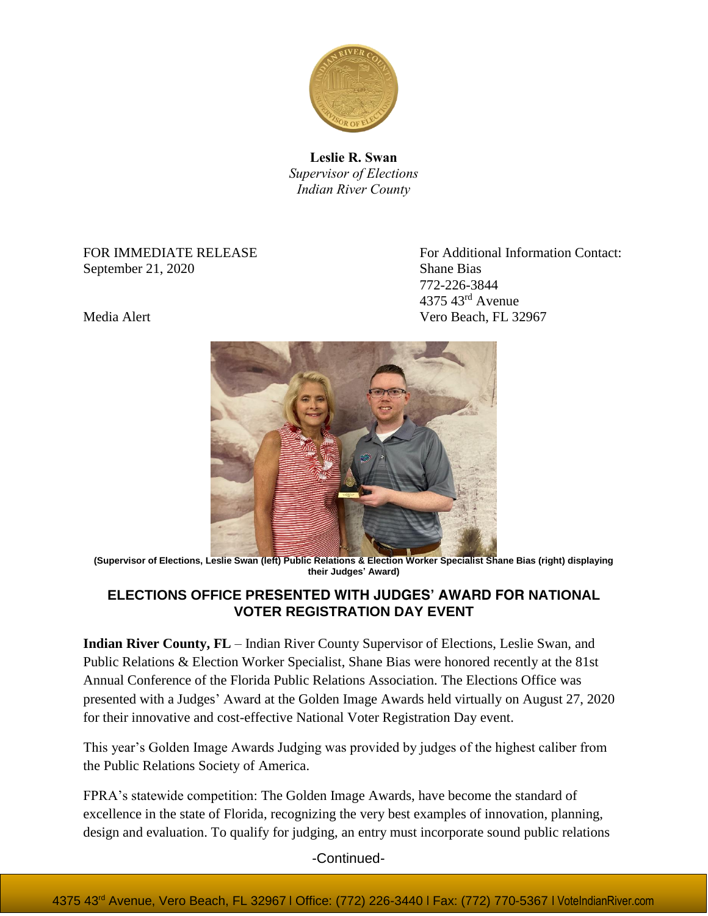

**Leslie R. Swan** *Supervisor of Elections Indian River County*

September 21, 2020 Shane Bias

FOR IMMEDIATE RELEASE FOR Additional Information Contact: 772-226-3844 4375 43rd Avenue Media Alert Vero Beach, FL 32967



**(Supervisor of Elections, Leslie Swan (left) Public Relations & Election Worker Specialist Shane Bias (right) displaying their Judges' Award)**

## **ELECTIONS OFFICE PRESENTED WITH JUDGES' AWARD FOR NATIONAL VOTER REGISTRATION DAY EVENT**

**Indian River County, FL** – Indian River County Supervisor of Elections, Leslie Swan, and Public Relations & Election Worker Specialist, Shane Bias were honored recently at the 81st Annual Conference of the Florida Public Relations Association. The Elections Office was presented with a Judges' Award at the Golden Image Awards held virtually on August 27, 2020 for their innovative and cost-effective National Voter Registration Day event.

This year's Golden Image Awards Judging was provided by judges of the highest caliber from the Public Relations Society of America.

FPRA's statewide competition: The Golden Image Awards, have become the standard of excellence in the state of Florida, recognizing the very best examples of innovation, planning, design and evaluation. To qualify for judging, an entry must incorporate sound public relations

-Continued-